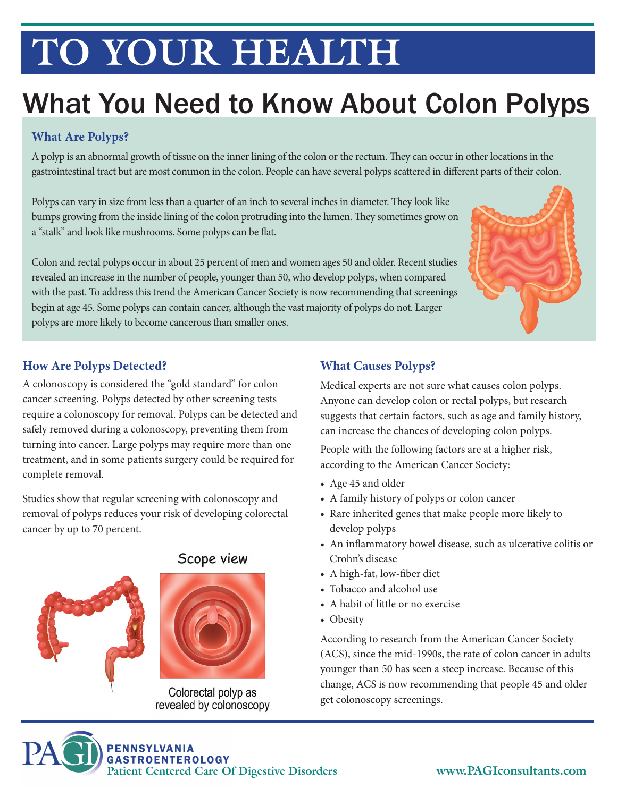# **TO YOUR HEALTH**

### What You Need to Know About Colon Polyps

#### **What Are Polyps?**

A polyp is an abnormal growth of tissue on the inner lining of the colon or the rectum. They can occur in other locations in the gastrointestinal tract but are most common in the colon. People can have several polyps scattered in different parts of their colon.

Polyps can vary in size from less than a quarter of an inch to several inches in diameter. They look like bumps growing from the inside lining of the colon protruding into the lumen. They sometimes grow on a "stalk" and look like mushrooms. Some polyps can be flat.

Colon and rectal polyps occur in about 25 percent of men and women ages 50 and older. Recent studies revealed an increase in the number of people, younger than 50, who develop polyps, when compared with the past. To address this trend the American Cancer Society is now recommending that screenings begin at age 45. Some polyps can contain cancer, although the vast majority of polyps do not. Larger polyps are more likely to become cancerous than smaller ones.



#### **How Are Polyps Detected?**

A colonoscopy is considered the "gold standard" for colon cancer screening. Polyps detected by other screening tests require a colonoscopy for removal. Polyps can be detected and safely removed during a colonoscopy, preventing them from turning into cancer. Large polyps may require more than one treatment, and in some patients surgery could be required for complete removal.

Studies show that regular screening with colonoscopy and removal of polyps reduces your risk of developing colorectal cancer by up to 70 percent.



#### Scope view



Colorectal polyp as revealed by colonoscopy

#### **What Causes Polyps?**

Medical experts are not sure what causes colon polyps. Anyone can develop colon or rectal polyps, but research suggests that certain factors, such as age and family history, can increase the chances of developing colon polyps.

People with the following factors are at a higher risk, according to the American Cancer Society:

- Age 45 and older
- A family history of polyps or colon cancer
- Rare inherited genes that make people more likely to develop polyps
- An inflammatory bowel disease, such as ulcerative colitis or Crohn's disease
- A high-fat, low-fiber diet
- Tobacco and alcohol use
- A habit of little or no exercise
- Obesity

According to research from the American Cancer Society (ACS), since the mid-1990s, the rate of colon cancer in adults younger than 50 has seen a steep increase. Because of this change, ACS is now recommending that people 45 and older get colonoscopy screenings.